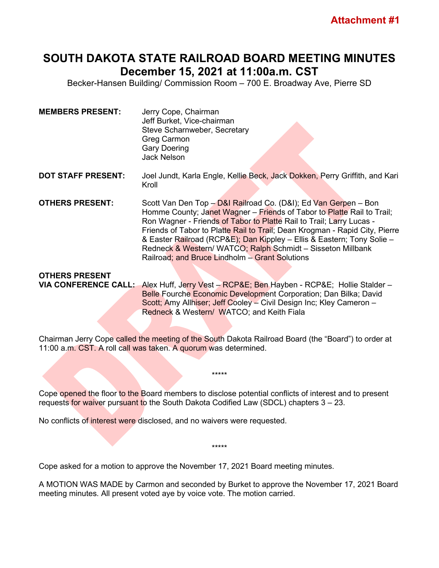## **SOUTH DAKOTA STATE RAILROAD BOARD MEETING MINUTES December 15, 2021 at 11:00a.m. CST**

Becker-Hansen Building/ Commission Room – 700 E. Broadway Ave, Pierre SD

- **MEMBERS PRESENT:** Jerry Cope, Chairman Jeff Burket, Vice-chairman Steve Scharnweber, Secretary Greg Carmon Gary Doering Jack Nelson
- **DOT STAFF PRESENT:** Joel Jundt, Karla Engle, Kellie Beck, Jack Dokken, Perry Griffith, and Kari Kroll
- **OTHERS PRESENT:** Scott Van Den Top D&I Railroad Co. (D&I); Ed Van Gerpen Bon Homme County; Janet Wagner – Friends of Tabor to Platte Rail to Trail; Ron Wagner - Friends of Tabor to Platte Rail to Trail; Larry Lucas -Friends of Tabor to Platte Rail to Trail; Dean Krogman - Rapid City, Pierre & Easter Railroad (RCP&E); Dan Kippley – Ellis & Eastern; Tony Solie – Redneck & Western/ WATCO; Ralph Schmidt - Sisseton Millbank Railroad; and Bruce Lindholm – Grant Solutions

## **OTHERS PRESENT VIA CONFERENCE CALL:** Alex Huff, Jerry Vest – RCP&E; Ben Hayben - RCP&E; Hollie Stalder – Belle Fourche Economic Development Corporation; Dan Bilka; David

Scott; Amy Allhiser; Jeff Cooley – Civil Design Inc; Kley Cameron – Redneck & Western/ WATCO; and Keith Fiala

Chairman Jerry Cope called the meeting of the South Dakota Railroad Board (the "Board") to order at 11:00 a.m. CST. A roll call was taken. A quorum was determined.

\*\*\*\*\*

Cope opened the floor to the Board members to disclose potential conflicts of interest and to present requests for waiver pursuant to the South Dakota Codified Law (SDCL) chapters 3 – 23.

No conflicts of interest were disclosed, and no waivers were requested.

Cope asked for a motion to approve the November 17, 2021 Board meeting minutes.

A MOTION WAS MADE by Carmon and seconded by Burket to approve the November 17, 2021 Board meeting minutes. All present voted aye by voice vote. The motion carried.

\*\*\*\*\*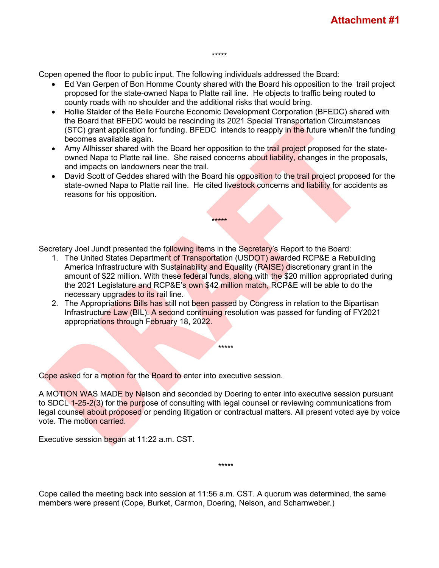Copen opened the floor to public input. The following individuals addressed the Board:

• Ed Van Gerpen of Bon Homme County shared with the Board his opposition to the trail project proposed for the state-owned Napa to Platte rail line. He objects to traffic being routed to county roads with no shoulder and the additional risks that would bring.

\*\*\*\*\*

- Hollie Stalder of the Belle Fourche Economic Development Corporation (BFEDC) shared with the Board that BFEDC would be rescinding its 2021 Special Transportation Circumstances (STC) grant application for funding. BFEDC intends to reapply in the future when/if the funding becomes available again.
- Amy Allhisser shared with the Board her opposition to the trail project proposed for the stateowned Napa to Platte rail line. She raised concerns about liability, changes in the proposals, and impacts on landowners near the trail.
- David Scott of Geddes shared with the Board his opposition to the trail project proposed for the state-owned Napa to Platte rail line. He cited livestock concerns and liability for accidents as reasons for his opposition.

\*\*\*\*\*

Secretary Joel Jundt presented the following items in the Secretary's Report to the Board:

- 1. The United States Department of Transportation (USDOT) awarded RCP&E a Rebuilding America Infrastructure with Sustainability and Equality (RAISE) discretionary grant in the amount of \$22 million. With these federal funds, along with the \$20 million appropriated during the 2021 Legislature and RCP&E's own \$42 million match, RCP&E will be able to do the necessary upgrades to its rail line.
- 2. The Appropriations Bills has still not been passed by Congress in relation to the Bipartisan Infrastructure Law (BIL). A second continuing resolution was passed for funding of FY2021 appropriations through February 18, 2022.

\*\*\*\*\*

Cope asked for a motion for the Board to enter into executive session.

A MOTION WAS MADE by Nelson and seconded by Doering to enter into executive session pursuant to SDCL 1-25-2(3) for the purpose of consulting with legal counsel or reviewing communications from legal counsel about proposed or pending litigation or contractual matters. All present voted aye by voice vote. The motion carried.

\*\*\*\*\*

Executive session began at 11:22 a.m. CST.

Cope called the meeting back into session at 11:56 a.m. CST. A quorum was determined, the same members were present (Cope, Burket, Carmon, Doering, Nelson, and Scharnweber.)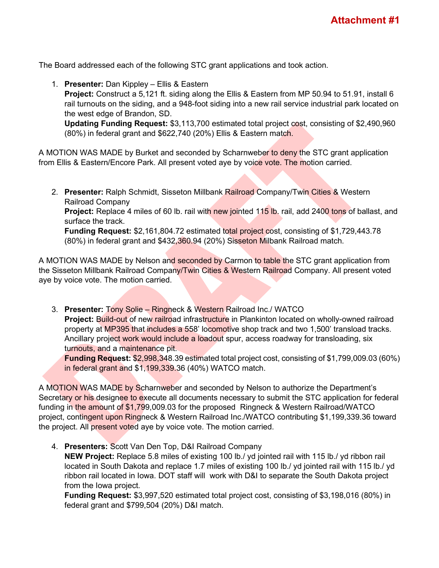The Board addressed each of the following STC grant applications and took action.

1. **Presenter:** Dan Kippley – Ellis & Eastern

**Project:** Construct a 5,121 ft. siding along the Ellis & Eastern from MP 50.94 to 51.91, install 6 rail turnouts on the siding, and a 948-foot siding into a new rail service industrial park located on the west edge of Brandon, SD.

**Updating Funding Request:** \$3,113,700 estimated total project cost, consisting of \$2,490,960 (80%) in federal grant and \$622,740 (20%) Ellis & Eastern match.

A MOTION WAS MADE by Burket and seconded by Scharnweber to deny the STC grant application from Ellis & Eastern/Encore Park. All present voted aye by voice vote. The motion carried.

2. **Presenter:** Ralph Schmidt, Sisseton Millbank Railroad Company/Twin Cities & Western Railroad Company

**Project:** Replace 4 miles of 60 lb. rail with new jointed 115 lb. rail, add 2400 tons of ballast, and surface the track.

**Funding Request:** \$2,161,804.72 estimated total project cost, consisting of \$1,729,443.78 (80%) in federal grant and \$432,360.94 (20%) Sisseton Milbank Railroad match.

A MOTION WAS MADE by Nelson and seconded by Carmon to table the STC grant application from the Sisseton Millbank Railroad Company/Twin Cities & Western Railroad Company. All present voted aye by voice vote. The motion carried.

3. **Presenter:** Tony Solie – Ringneck & Western Railroad Inc./ WATCO **Project: Build-out of new railroad infrastructure in Plankinton located on wholly-owned railroad** property at MP395 that includes a 558' locomotive shop track and two 1,500' transload tracks. Ancillary project work would include a loadout spur, access roadway for transloading, six turnouts, and a maintenance pit.

**Funding Request:** \$2,998,348.39 estimated total project cost, consisting of \$1,799,009.03 (60%) in federal grant and \$1,199,339.36 (40%) WATCO match.

A MOTION WAS MADE by Scharnweber and seconded by Nelson to authorize the Department's Secretary or his designee to execute all documents necessary to submit the STC application for federal funding in the amount of \$1,799,009.03 for the proposed Ringneck & Western Railroad/WATCO project, contingent upon Ringneck & Western Railroad Inc./WATCO contributing \$1,199,339.36 toward the project. All present voted aye by voice vote. The motion carried.

4. **Presenters:** Scott Van Den Top, D&I Railroad Company

**NEW Project:** Replace 5.8 miles of existing 100 lb./ yd jointed rail with 115 lb./ yd ribbon rail located in South Dakota and replace 1.7 miles of existing 100 lb./ yd jointed rail with 115 lb./ yd ribbon rail located in Iowa. DOT staff will work with D&I to separate the South Dakota project from the Iowa project.

**Funding Request:** \$3,997,520 estimated total project cost, consisting of \$3,198,016 (80%) in federal grant and \$799,504 (20%) D&I match.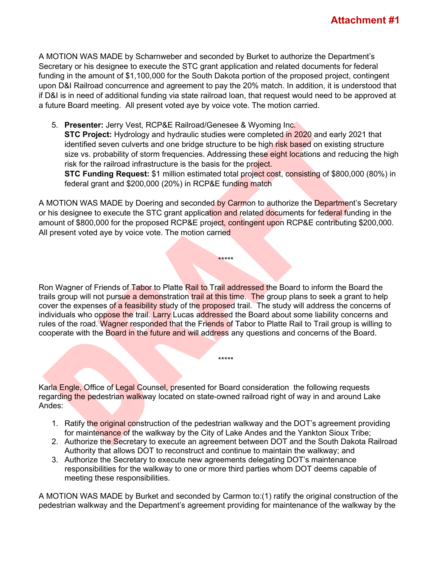A MOTION WAS MADE by Scharnweber and seconded by Burket to authorize the Department's Secretary or his designee to execute the STC grant application and related documents for federal funding in the amount of \$1,100,000 for the South Dakota portion of the proposed project, contingent upon D&I Railroad concurrence and agreement to pay the 20% match. In addition, it is understood that if D&I is in need of additional funding via state railroad loan, that request would need to be approved at a future Board meeting. All present voted aye by voice vote. The motion carried.

5. **Presenter:** Jerry Vest, RCP&E Railroad/Genesee & Wyoming Inc.

**STC Project:** Hydrology and hydraulic studies were completed in 2020 and early 2021 that identified seven culverts and one bridge structure to be high risk based on existing structure size vs. probability of storm frequencies. Addressing these eight locations and reducing the high risk for the railroad infrastructure is the basis for the project.

**STC Funding Request:** \$1 million estimated total project cost, consisting of \$800,000 (80%) in federal grant and \$200,000 (20%) in RCP&E funding match

A MOTION WAS MADE by Doering and seconded by Carmon to authorize the Department's Secretary or his designee to execute the STC grant application and related documents for federal funding in the amount of \$800,000 for the proposed RCP&E project, contingent upon RCP&E contributing \$200,000. All present voted aye by voice vote. The motion carried

\*\*\*\*\*

Ron Wagner of Friends of Tabor to Platte Rail to Trail addressed the Board to inform the Board the trails group will not pursue a demonstration trail at this time. The group plans to seek a grant to help cover the expenses of a feasibility study of the proposed trail. The study will address the concerns of individuals who oppose the trail. Larry Lucas addressed the Board about some liability concerns and rules of the road. Wagner responded that the Friends of Tabor to Platte Rail to Trail group is willing to cooperate with the Board in the future and will address any questions and concerns of the Board.

Karla Engle, Office of Legal Counsel, presented for Board consideration the following requests regarding the pedestrian walkway located on state-owned railroad right of way in and around Lake Andes:

1. Ratify the original construction of the pedestrian walkway and the DOT's agreement providing for maintenance of the walkway by the City of Lake Andes and the Yankton Sioux Tribe;

\*\*\*\*\*

- 2. Authorize the Secretary to execute an agreement between DOT and the South Dakota Railroad Authority that allows DOT to reconstruct and continue to maintain the walkway; and
- 3. Authorize the Secretary to execute new agreements delegating DOT's maintenance responsibilities for the walkway to one or more third parties whom DOT deems capable of meeting these responsibilities.

A MOTION WAS MADE by Burket and seconded by Carmon to:(1) ratify the original construction of the pedestrian walkway and the Department's agreement providing for maintenance of the walkway by the